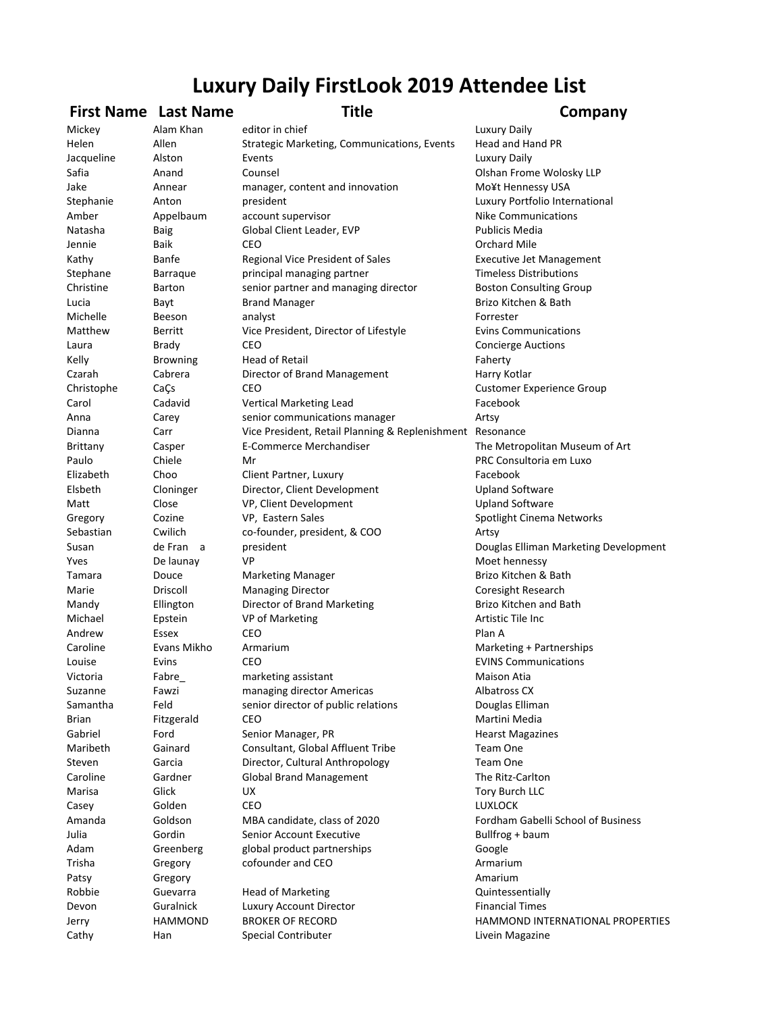## **Luxury Daily FirstLook 2019 Attendee List**

## **First Name** Last Name **Title Company**

Mickey Alam Khan editor in chief Channel Luxury Daily Helen Allen Strategic Marketing, Communications, Events Head and Hand PR Jacqueline Alston Events **Exercise Alston** Events Alston **Luxury** Daily Safia **Anand** Counsel **Counsel Counsel Counsel Anand Counsel Counsel Counsel Counsel Counsel Counsel Counsel Counsel Counsel Counsel Counsel Counsel Counsel Counsel Counsel Counsel Counsel Counsel Counsel Counsel Counsel C** Jake **Annear** manager, content and innovation Mo¥t Hennessy USA Stephanie Anton president control and the president control and the control of the Antonio Antonio and the president Amber **Appelbaum** account supervisor **Allections** Nike Communications Natasha Baig Baig Global Client Leader, EVP Cloud Bublicis Media Jennie Baik CEO **Orchard Mile** Kathy **Banfe** Regional Vice President of Sales Executive Jet Management Stephane Barraque principal managing partner Timeless Distributions Christine Barton senior partner and managing director Boston Consulting Group Lucia **Bayt** Brand Manager **Brand Brizo** Kitchen & Bath Michelle Beeson analyst Forrester Matthew Berritt Vice President, Director of Lifestyle Evins Communications Laura Brady CEO Concierge Auctions Kelly Browning Head of Retail **Faherty** Faherty Czarah Cabrera Director of Brand Management Harry Kotlar Christophe CaÇs CEO CEO Customer Experience Group Carol Cadavid Vertical Marketing Lead The Cacebook Anna Carey senior communications manager Artsy Dianna Carr Vice President, Retail Planning & Replenishment Resonance Brittany **Solution Casper** Casper **E-Commerce Merchandiser** The Metropolitan Museum of Art Paulo Chiele Mr Chiele Chiele Mr Consultoria em Luxo Elizabeth Choo Client Partner, Luxury Charteston Chook Elsbeth Cloninger Director, Client Development Upland Software Matt Close VP, Client Development Close Upland Software Gregory Cozine VP, Eastern Sales Spotlight Cinema Networks Sebastian Cwilich co-founder, president, & COO Artsy Susan de Fran a president and the present of the Douglas Elliman Marketing Development Yves De launay VP Moet hennessy Tamara **Douce** Marketing Manager **Manager** Brizo Kitchen & Bath Marie **Driscoll** Driscoll Managing Director **Coresight Research** Mandy **Ellington** Director of Brand Marketing **Brizo** Kitchen and Bath Michael **Epstein** VP of Marketing **Artistic Tile** Inc Andrew Essex CEO **Plan A** Caroline Evans Mikho Armarium **Marketing** + Partnerships Louise Evins CEO CO EVINS Communications Victoria **Fabre\_** marketing assistant Maison Atia Suzanne Fawzi managing director Americas and Albatross CX Samantha Feld senior director of public relations Douglas Elliman **Brian** Fitzgerald CEO **CEO Martini** Media Gabriel Ford Senior Manager, PR **Formangele Senior Manager**, PR Maribeth Gainard Consultant, Global Affluent Tribe Team One Steven Garcia Director, Cultural Anthropology Team One Caroline Gardner Global Brand Management The Ritz-Carlton Marisa Glick UX Glick Glick Contract UX Contract Contract Contract Tory Burch LLC Casey Golden CEO LUXLOCK Amanda Goldson MBA candidate, class of 2020 Fordham Gabelli School of Business Julia Gordin Senior Account Executive Sullfrog + baum Adam Greenberg global product partnerships Google Trisha Gregory cofounder and CEO **Armarium** Patsy **Gregory Gregory Amarium** Robbie Guevarra Head of Marketing Theorem Cuintessentially Devon Guralnick Luxury Account Director **Financial Times** Jerry **HAMMOND** BROKER OF RECORD **BROKER HAMMOND INTERNATIONAL PROPERTIES** Cathy **Han** Special Contributer **Livein Magazine** Livein Magazine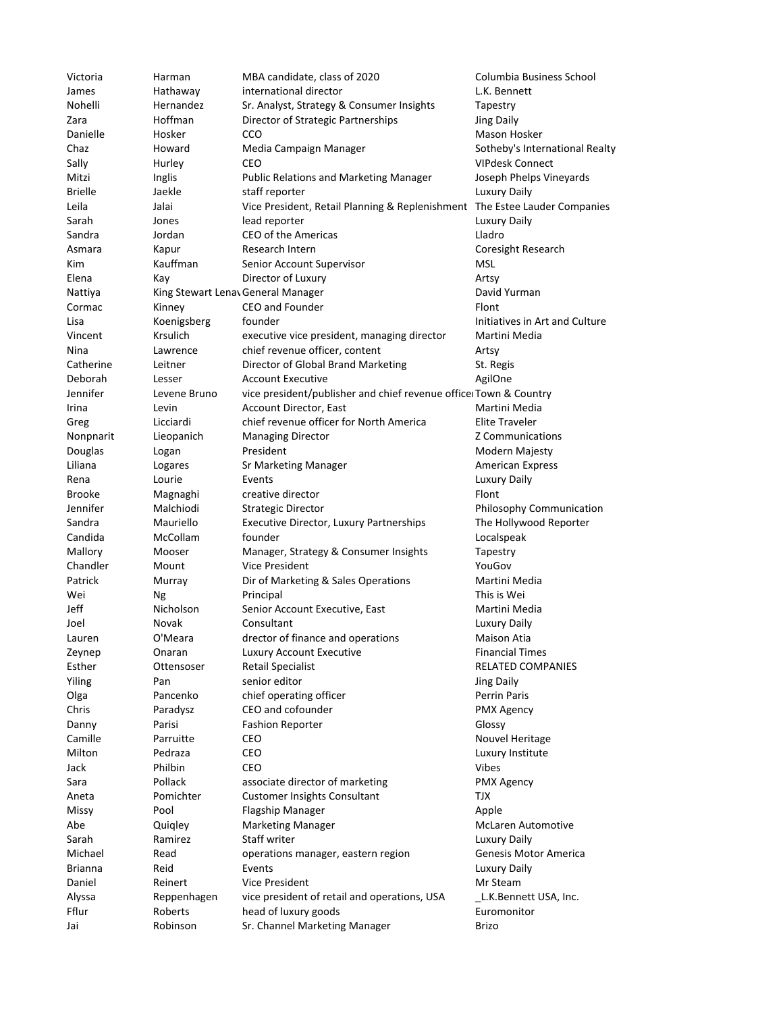| Victoria       | Harman          | MBA candidate, class of 2020                                               | Columbia Business School       |
|----------------|-----------------|----------------------------------------------------------------------------|--------------------------------|
| James          | Hathaway        | international director                                                     | L.K. Bennett                   |
| Nohelli        | Hernandez       | Sr. Analyst, Strategy & Consumer Insights                                  | Tapestry                       |
| Zara           | Hoffman         | Director of Strategic Partnerships                                         | <b>Jing Daily</b>              |
| Danielle       | Hosker          | CCO                                                                        | Mason Hosker                   |
| Chaz           | Howard          | Media Campaign Manager                                                     | Sotheby's International Realty |
| Sally          | Hurley          | CEO                                                                        | <b>VIPdesk Connect</b>         |
| Mitzi          | Inglis          | <b>Public Relations and Marketing Manager</b>                              | Joseph Phelps Vineyards        |
| <b>Brielle</b> | Jaekle          | staff reporter                                                             | <b>Luxury Daily</b>            |
| Leila          | Jalai           | Vice President, Retail Planning & Replenishment The Estee Lauder Companies |                                |
| Sarah          | Jones           | lead reporter                                                              | Luxury Daily                   |
| Sandra         | Jordan          | CEO of the Americas                                                        | Lladro                         |
| Asmara         | Kapur           | Research Intern                                                            | Coresight Research             |
|                | Kauffman        |                                                                            | MSL                            |
| Kim            |                 | Senior Account Supervisor                                                  |                                |
| Elena          | Kay             | Director of Luxury                                                         | Artsy                          |
| Nattiya        |                 | King Stewart Lenav General Manager                                         | David Yurman                   |
| Cormac         | Kinney          | CEO and Founder                                                            | Flont                          |
| Lisa           | Koenigsberg     | founder                                                                    | Initiatives in Art and Culture |
| Vincent        | <b>Krsulich</b> | executive vice president, managing director                                | Martini Media                  |
| Nina           | Lawrence        | chief revenue officer, content                                             | Artsy                          |
| Catherine      | Leitner         | Director of Global Brand Marketing                                         | St. Regis                      |
| Deborah        | Lesser          | <b>Account Executive</b>                                                   | AgilOne                        |
| Jennifer       | Levene Bruno    | vice president/publisher and chief revenue office Town & Country           |                                |
| Irina          | Levin           | Account Director, East                                                     | Martini Media                  |
| Greg           | Licciardi       | chief revenue officer for North America                                    | <b>Elite Traveler</b>          |
| Nonpnarit      | Lieopanich      | <b>Managing Director</b>                                                   | Z Communications               |
| Douglas        | Logan           | President                                                                  | Modern Majesty                 |
| Liliana        | Logares         | Sr Marketing Manager                                                       | <b>American Express</b>        |
| Rena           | Lourie          | Events                                                                     | Luxury Daily                   |
| <b>Brooke</b>  | Magnaghi        | creative director                                                          | Flont                          |
| Jennifer       | Malchiodi       | <b>Strategic Director</b>                                                  | Philosophy Communication       |
| Sandra         | Mauriello       |                                                                            |                                |
|                |                 | Executive Director, Luxury Partnerships                                    | The Hollywood Reporter         |
| Candida        | McCollam        | founder                                                                    | Localspeak                     |
| Mallory        | Mooser          | Manager, Strategy & Consumer Insights                                      | Tapestry                       |
| Chandler       | Mount           | <b>Vice President</b>                                                      | YouGov                         |
| Patrick        | Murray          | Dir of Marketing & Sales Operations                                        | Martini Media                  |
| Wei            | Ng              | Principal                                                                  | This is Wei                    |
| Jeff           | Nicholson       | Senior Account Executive, East                                             | Martini Media                  |
| Joel           | Novak           | Consultant                                                                 | <b>Luxury Daily</b>            |
| Lauren         | O'Meara         | drector of finance and operations                                          | Maison Atia                    |
| Zeynep         | Onaran          | Luxury Account Executive                                                   | <b>Financial Times</b>         |
| Esther         | Ottensoser      | <b>Retail Specialist</b>                                                   | RELATED COMPANIES              |
| Yiling         | Pan             | senior editor                                                              | <b>Jing Daily</b>              |
| Olga           | Pancenko        | chief operating officer                                                    | <b>Perrin Paris</b>            |
| Chris          | Paradysz        | CEO and cofounder                                                          | <b>PMX Agency</b>              |
| Danny          | Parisi          | <b>Fashion Reporter</b>                                                    | Glossy                         |
| Camille        | Parruitte       | CEO                                                                        | Nouvel Heritage                |
| Milton         | Pedraza         | CEO                                                                        | Luxury Institute               |
| Jack           | Philbin         | CEO                                                                        | <b>Vibes</b>                   |
| Sara           | Pollack         | associate director of marketing                                            | <b>PMX Agency</b>              |
| Aneta          | Pomichter       | <b>Customer Insights Consultant</b>                                        | TJX                            |
| Missy          | Pool            | <b>Flagship Manager</b>                                                    | Apple                          |
|                |                 |                                                                            |                                |
| Abe            | Quigley         | <b>Marketing Manager</b>                                                   | <b>McLaren Automotive</b>      |
| Sarah          | Ramirez         | Staff writer                                                               | <b>Luxury Daily</b>            |
| Michael        | Read            | operations manager, eastern region                                         | Genesis Motor America          |
| <b>Brianna</b> | Reid            | Events                                                                     | Luxury Daily                   |
| Daniel         | Reinert         | <b>Vice President</b>                                                      | Mr Steam                       |
| Alyssa         | Reppenhagen     | vice president of retail and operations, USA                               | L.K.Bennett USA, Inc.          |
| Fflur          | Roberts         | head of luxury goods                                                       | Euromonitor                    |
| Jai            | Robinson        | Sr. Channel Marketing Manager                                              | Brizo                          |
|                |                 |                                                                            |                                |